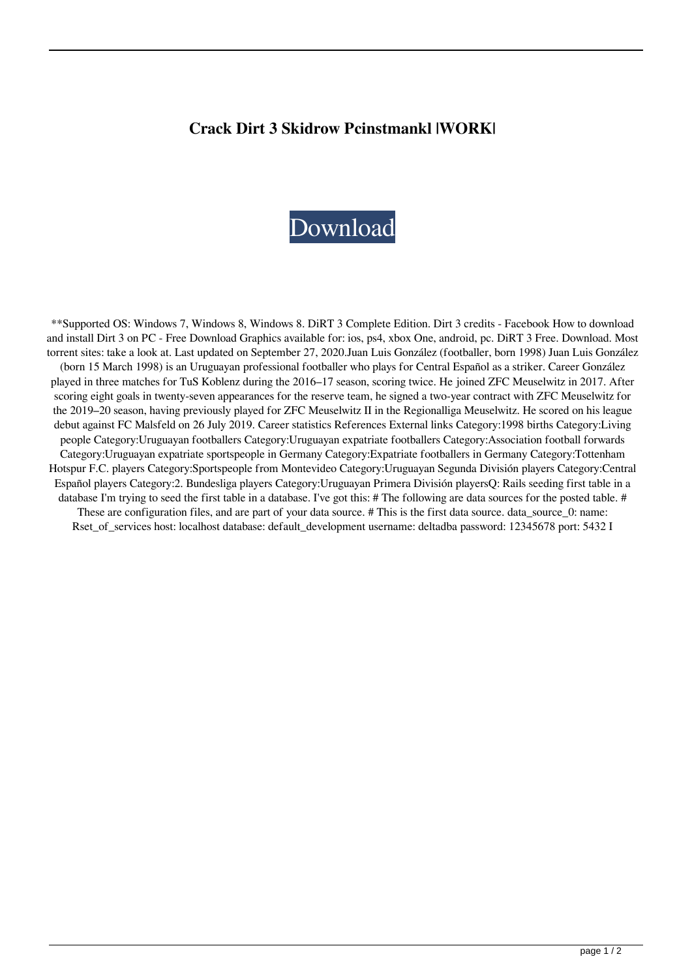## **Crack Dirt 3 Skidrow Pcinstmankl |WORK|**



\*\*Supported OS: Windows 7, Windows 8, Windows 8. DiRT 3 Complete Edition. Dirt 3 credits - Facebook How to download and install Dirt 3 on PC - Free Download Graphics available for: ios, ps4, xbox One, android, pc. DiRT 3 Free. Download. Most torrent sites: take a look at. Last updated on September 27, 2020.Juan Luis González (footballer, born 1998) Juan Luis González (born 15 March 1998) is an Uruguayan professional footballer who plays for Central Español as a striker. Career González played in three matches for TuS Koblenz during the 2016–17 season, scoring twice. He joined ZFC Meuselwitz in 2017. After scoring eight goals in twenty-seven appearances for the reserve team, he signed a two-year contract with ZFC Meuselwitz for the 2019–20 season, having previously played for ZFC Meuselwitz II in the Regionalliga Meuselwitz. He scored on his league debut against FC Malsfeld on 26 July 2019. Career statistics References External links Category:1998 births Category:Living people Category:Uruguayan footballers Category:Uruguayan expatriate footballers Category:Association football forwards Category:Uruguayan expatriate sportspeople in Germany Category:Expatriate footballers in Germany Category:Tottenham Hotspur F.C. players Category:Sportspeople from Montevideo Category:Uruguayan Segunda División players Category:Central Español players Category:2. Bundesliga players Category:Uruguayan Primera División playersQ: Rails seeding first table in a database I'm trying to seed the first table in a database. I've got this: # The following are data sources for the posted table. # These are configuration files, and are part of your data source. # This is the first data source. data\_source\_0: name: Rset\_of\_services host: localhost database: default\_development username: deltadba password: 12345678 port: 5432 I